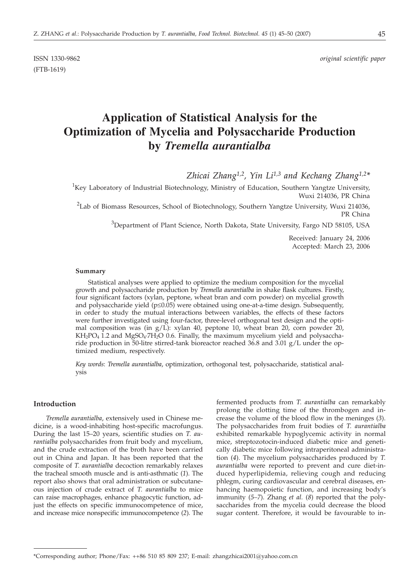(FTB-1619)

# **Application of Statistical Analysis for the Optimization of Mycelia and Polysaccharide Production by** *Tremella aurantialba*

*Zhicai Zhang1,2, Yin Li1,3 and Kechang Zhang1,2\**

<sup>1</sup>Key Laboratory of Industrial Biotechnology, Ministry of Education, Southern Yangtze University, Wuxi 214036, PR China

 $2$ Lab of Biomass Resources, School of Biotechnology, Southern Yangtze University, Wuxi 214036, PR China

 $^3$ Department of Plant Science, North Dakota, State University, Fargo ND 58105, USA

Received: January 24, 2006 Accepted: March 23, 2006

#### **Summary**

Statistical analyses were applied to optimize the medium composition for the mycelial growth and polysaccharide production by *Tremella aurantialba* in shake flask cultures. Firstly, four significant factors (xylan, peptone, wheat bran and corn powder) on mycelial growth and polysaccharide yield  $(p \le 0.05)$  were obtained using one-at-a-time design. Subsequently, in order to study the mutual interactions between variables, the effects of these factors were further investigated using four-factor, three-level orthogonal test design and the optimal composition was (in  $g/L$ ): xylan 40, peptone 10, wheat bran 20, corn powder 20,  $KH_2PO_4$  1.2 and MgSO<sub>4</sub>·7H<sub>2</sub>O 0.6. Finally, the maximum mycelium yield and polysaccharide production in 50-litre stirred-tank bioreactor reached 36.8 and 3.01  $g/L$  under the optimized medium, respectively.

*Key words*: *Tremella aurantialba*, optimization, orthogonal test, polysaccharide, statistical analysis

# **Introduction**

*Tremella aurantialba*, extensively used in Chinese medicine, is a wood-inhabiting host-specific macrofungus. During the last 15–20 years, scientific studies on *T. aurantialba* polysaccharides from fruit body and mycelium, and the crude extraction of the broth have been carried out in China and Japan. It has been reported that the composite of *T. aurantialba* decoction remarkably relaxes the tracheal smooth muscle and is anti-asthmatic (*1*). The report also shows that oral administration or subcutaneous injection of crude extract of *T. aurantialba* to mice can raise macrophages, enhance phagocytic function, adjust the effects on specific immunocompetence of mice, and increase mice nonspecific immunocompetence (*2*). The

fermented products from *T. aurantialba* can remarkably prolong the clotting time of the thrombogen and increase the volume of the blood flow in the meninges (*3*). The polysaccharides from fruit bodies of *T. aurantialba* exhibited remarkable hypoglycemic activity in normal mice, streptozotocin-induced diabetic mice and genetically diabetic mice following intraperitoneal administration (*4*). The mycelium polysaccharides produced by *T. aurantialba* were reported to prevent and cure diet-induced hyperlipidemia, relieving cough and reducing phlegm, curing cardiovascular and cerebral diseases, enhancing haemopoietic function, and increasing body's immunity (*5–7*). Zhang *et al.* (*8*) reported that the polysaccharides from the mycelia could decrease the blood sugar content. Therefore, it would be favourable to in-

<sup>\*</sup>Corresponding author; Phone/Fax: ++86 510 85 809 237; E-mail: zhangzhicai2001@yahoo.com.cn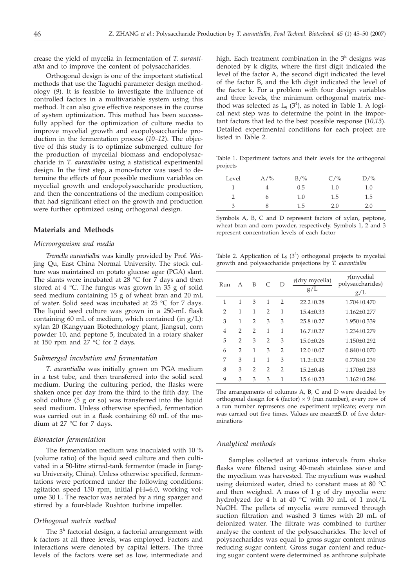crease the yield of mycelia in fermentation of *T. aurantialba* and to improve the content of polysaccharides.

Orthogonal design is one of the important statistical methods that use the Taguchi parameter design methodology (*9*). It is feasible to investigate the influence of controlled factors in a multivariable system using this method. It can also give effective responses in the course of system optimization. This method has been successfully applied for the optimization of culture media to improve mycelial growth and exopolysaccharide production in the fermentation process (*10–12*). The objective of this study is to optimize submerged culture for the production of mycelial biomass and endopolysaccharide in *T. aurantialba* using a statistical experimental design. In the first step, a mono-factor was used to determine the effects of four possible medium variables on mycelial growth and endopolysaccharide production, and then the concentrations of the medium composition that had significant effect on the growth and production were further optimized using orthogonal design*.*

#### **Materials and Methods**

#### *Microorganism and media*

*Tremella aurantialba* was kindly provided by Prof. Weijing Qu, East China Normal University. The stock culture was maintained on potato glucose agar (PGA) slant. The slants were incubated at 28  $^{\circ}$ C for 7 days and then stored at 4 °C. The fungus was grown in 35 g of solid seed medium containing 15 g of wheat bran and 20 mL of water. Solid seed was incubated at 25 °C for 7 days. The liquid seed culture was grown in a 250-mL flask containing 60 mL of medium, which contained (in  $g/L$ ): xylan 20 (Kangyuan Biotechnology plant, Jiangsu), corn powder 10, and peptone 5, incubated in a rotary shaker at 150 rpm and 27 °C for 2 days.

# *Submerged incubation and fermentation*

*T. aurantialba* was initially grown on PGA medium in a test tube, and then transferred into the solid seed medium. During the culturing period, the flasks were shaken once per day from the third to the fifth day. The solid culture (5 g or so) was transferred into the liquid seed medium. Unless otherwise specified, fermentation was carried out in a flask containing 60 mL of the medium at 27 °C for 7 days.

## *Bioreactor fermentation*

The fermentation medium was inoculated with 10 % (volume ratio) of the liquid seed culture and then cultivated in a 50-litre stirred-tank fermentor (made in Jiangsu University, China). Unless otherwise specified, fermentations were performed under the following conditions: agitation speed 150 rpm, initial pH=6.0, working volume 30 L. The reactor was aerated by a ring sparger and stirred by a four-blade Rushton turbine impeller.

#### *Orthogonal matrix method*

The  $3<sup>k</sup>$  factorial design, a factorial arrangement with k factors at all three levels, was employed. Factors and interactions were denoted by capital letters. The three levels of the factors were set as low, intermediate and

high. Each treatment combination in the  $3<sup>k</sup>$  designs was denoted by k digits, where the first digit indicated the level of the factor A, the second digit indicated the level of the factor B, and the kth digit indicated the level of the factor k. For a problem with four design variables and three levels, the minimum orthogonal matrix method was selected as  $L_9$  (3<sup>4</sup>), as noted in Table 1. A logical next step was to determine the point in the important factors that led to the best possible response (*10,13*). Detailed experimental conditions for each project are listed in Table 2.

Table 1. Experiment factors and their levels for the orthogonal projects

| Level | $A/\%$ | $B/\%$ | $C/$ % | $D/\%$  |
|-------|--------|--------|--------|---------|
|       |        | 0.5    | 1.0    | $1.0\,$ |
|       | O      | 1.0    | 1.5    | 1.5     |
| 3     | 8      | 1.5    | 2.0    | 2.0     |

Symbols A, B, C and D represent factors of xylan, peptone, wheat bran and corn powder, respectively. Symbols 1, 2 and 3 represent concentration levels of each factor

Table 2. Application of L<sub>9</sub>  $(3^4)$  orthogonal projects to mycelial growth and polysaccharide projections by *T. aurantialba*

| Run            | A | B              | $\subset$      | D              | $y$ (dry mycelia)<br>g/L | $\gamma$ (mycelial<br>polysaccharides)<br>g/L |
|----------------|---|----------------|----------------|----------------|--------------------------|-----------------------------------------------|
| 1              | 1 | 3              | 1              | $\overline{2}$ | $22.2+0.28$              | $1.704 + 0.470$                               |
| 2              | 1 | 1              | $\mathcal{P}$  | 1              | $15.4 + 0.33$            | $1.162 + 0.277$                               |
| 3              | 1 | 2              | 3              | 3              | $25.8 + 0.27$            | 1.950±0.339                                   |
| $\overline{4}$ | 2 | $\overline{2}$ | 1              | 1              | $16.7 + 0.27$            | $1.234 + 0.279$                               |
| 5              | 2 | 3              | $\overline{2}$ | 3              | $15.0 + 0.26$            | $1.150 + 0.292$                               |
| 6              | 2 | 1              | 3              | $\overline{2}$ | $12.0 \pm 0.07$          | $0.840 + 0.070$                               |
| 7              | 3 | 1              | 1              | 3              | $11.2 + 0.32$            | $0.778 + 0.239$                               |
| 8              | 3 | $\overline{2}$ | $\mathcal{P}$  | $\overline{2}$ | $15.2 + 0.46$            | 1.170±0.283                                   |
| 9              | 3 | 3              | 3              | 1              | $15.6 \pm 0.23$          | $1.162 \pm 0.286$                             |

The arrangements of columns A, B, C and D were decided by orthogonal design for 4 (factor)  $\times$  9 (run number), every row of a run number represents one experiment replicate; every run was carried out five times. Values are mean±S.D. of five determinations

#### *Analytical methods*

Samples collected at various intervals from shake flasks were filtered using 40-mesh stainless sieve and the mycelium was harvested. The mycelium was washed using deionized water, dried to constant mass at 80 °C and then weighed. A mass of 1 g of dry mycelia were hydrolyzed for 4 h at 40 °C with 30 mL of 1 mol/L NaOH. The pellets of mycelia were removed through suction filtration and washed 3 times with 20 mL of deionized water. The filtrate was combined to further analyse the content of the polysaccharides. The level of polysaccharides was equal to gross sugar content minus reducing sugar content. Gross sugar content and reducing sugar content were determined as anthrone sulphate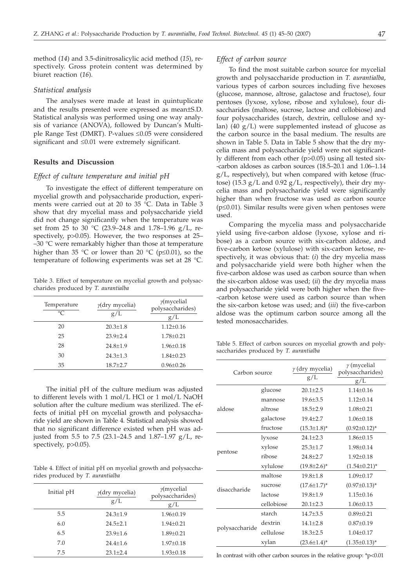method (*14*) and 3.5-dinitrosalicylic acid method (*15*), respectively. Gross protein content was determined by biuret reaction (*16*).

# *Statistical analysis*

The analyses were made at least in quintuplicate and the results presented were expressed as mean±S.D. Statistical analysis was performed using one way analysis of variance (ANOVA), followed by Duncan's Multiple Range Test (DMRT). P-values ≤0.05 were considered significant and  $\leq 0.01$  were extremely significant.

## **Results and Discussion**

## *Effect of culture temperature and initial pH*

To investigate the effect of different temperature on mycelial growth and polysaccharide production, experiments were carried out at 20 to 35 °C. Data in Table 3 show that dry mycelial mass and polysaccharide yield did not change significantly when the temperature was set from 25 to 30 °C (23.9–24.8 and 1.78–1.96 g/L, respectively, p>0.05). However, the two responses at 25–  $-30$  °C were remarkably higher than those at temperature higher than 35 °C or lower than 20 °C ( $p \le 0.01$ ), so the temperature of following experiments was set at 28 °C.

Table 3. Effect of temperature on mycelial growth and polysaccharides produced by *T. aurantialba*

| Temperature<br>$\circ$ C | $\gamma$ (dry mycelia)<br>g/L | $\gamma$ (mycelial<br>polysaccharides)<br>g/L |
|--------------------------|-------------------------------|-----------------------------------------------|
| 20                       | $20.3 + 1.8$                  | $1.12 \pm 0.16$                               |
| 25                       | $23.9 + 2.4$                  | $1.78 + 0.21$                                 |
| 28                       | $24.8 + 1.9$                  | $1.96 + 0.18$                                 |
| 30                       | $24.3 + 1.3$                  | $1.84 + 0.23$                                 |
| 35                       | $18.7 + 2.7$                  | $0.96 \pm 0.26$                               |

The initial pH of the culture medium was adjusted to different levels with 1 mol/L HCl or 1 mol/L NaOH solution after the culture medium was sterilized. The effects of initial pH on mycelial growth and polysaccharide yield are shown in Table 4. Statistical analysis showed that no significant difference existed when pH was adjusted from 5.5 to 7.5 (23.1–24.5 and 1.87–1.97 g/L, respectively, p>0.05).

Table 4. Effect of initial pH on mycelial growth and polysaccharides produced by *T. aurantialba*

| Initial pH | $y$ (dry mycelia)<br>g/L | $\gamma$ (mycelial<br>polysaccharides)<br>g/L |
|------------|--------------------------|-----------------------------------------------|
| 5.5        | $24.3 \pm 1.9$           | $1.96 \pm 0.19$                               |
| 6.0        | $24.5 + 2.1$             | $1.94 \pm 0.21$                               |
| 6.5        | $23.9 + 1.6$             | $1.89 \pm 0.21$                               |
| 7.0        | $24.4 + 1.6$             | $1.97 \pm 0.18$                               |
| 7.5        | $23.1 + 2.4$             | $1.93 \pm 0.18$                               |

#### *Effect of carbon source*

To find the most suitable carbon source for mycelial growth and polysaccharide production in *T. aurantialba*, various types of carbon sources including five hexoses (glucose, mannose, altrose, galactose and fructose), four pentoses (lyxose, xylose, ribose and xylulose), four disaccharides (maltose, sucrose, lactose and cellobiose) and four polysaccharides (starch, dextrin, cellulose and xylan) (40  $g/L$ ) were supplemented instead of glucose as the carbon source in the basal medium. The results are shown in Table 5. Data in Table 5 show that the dry mycelia mass and polysaccharide yield were not significantly different from each other (p>0.05) using all tested six- -carbon aldoses as carbon sources (18.5–20.1 and 1.06–1.14 g/L, respectively), but when compared with ketose (fructose) (15.3 g/L and 0.92 g/L, respectively), their dry mycelia mass and polysaccharide yield were significantly higher than when fructose was used as carbon source ( $p \leq 0.01$ ). Similar results were given when pentoses were used.

Comparing the mycelia mass and polysaccharide yield using five-carbon aldose (lyxose, xylose and ribose) as a carbon source with six-carbon aldose, and five-carbon ketose (xylulose) with six-carbon ketose, respectively, it was obvious that: (*i*) the dry mycelia mass and polysaccharide yield were both higher when the five-carbon aldose was used as carbon source than when the six-carbon aldose was used; (*ii*) the dry mycelia mass and polysaccharide yield were both higher when the five- -carbon ketose were used as carbon source than when the six-carbon ketose was used; and (*iii*) the five-carbon aldose was the optimum carbon source among all the tested monosaccharides.

Table 5. Effect of carbon sources on mycelial growth and polysaccharides produced by *T. aurantialba*

| Carbon source  |            | $\gamma$ (dry mycelia)<br>g/L | $\gamma$ (mycelial<br>polysaccharides)<br>g/L |  |  |
|----------------|------------|-------------------------------|-----------------------------------------------|--|--|
|                |            |                               |                                               |  |  |
|                | glucose    | $20.1 \pm 2.5$                | $1.14 + 0.16$                                 |  |  |
|                | mannose    | $19.6 \pm 3.5$                | $1.12 \pm 0.14$                               |  |  |
| aldose         | altrose    | $18.5 + 2.9$                  | $1.08 \pm 0.21$                               |  |  |
|                | galactose  | $19.4 + 2.7$                  | $1.06 \pm 0.18$                               |  |  |
|                | fructose   | $(15.3 \pm 1.8)^*$            | $(0.92 \pm 0.12)^{*}$                         |  |  |
|                | lyxose     | $24.1 + 2.3$                  | $1.86 \pm 0.15$                               |  |  |
|                | xylose     | $25.3 \pm 1.7$                | $1.98 \pm 0.14$                               |  |  |
| pentose        | ribose     | $24.8 + 2.7$                  | $1.92 \pm 0.18$                               |  |  |
|                | xylulose   | $(19.8 \pm 2.6)^*$            | $(1.54 \pm 0.21)^{*}$                         |  |  |
|                | maltose    | $19.8 + 1.8$                  | $1.09 + 0.17$                                 |  |  |
| disaccharide   | sucrose    | $(17.6 \pm 1.7)^*$            | $(0.97 \pm 0.13)^*$                           |  |  |
|                | lactose    | $19.8 \pm 1.9$                | $1.15 \pm 0.16$                               |  |  |
|                | cellobiose | $20.1 \pm 2.3$                | $1.06 \pm 0.13$                               |  |  |
|                | starch     | $14.7 \pm 3.5$                | $0.89 \pm 0.21$                               |  |  |
|                | dextrin    | $14.1 + 2.8$                  | $0.87 \pm 0.19$                               |  |  |
| polysaccharide | cellulose  | $18.3 \pm 2.5$                | $1.04 \pm 0.17$                               |  |  |
|                | xylan      | $(23.6 \pm 1.4)^*$            | $(1.35 \pm 0.13)^*$                           |  |  |

In contrast with other carbon sources in the relative group: \*p<0.01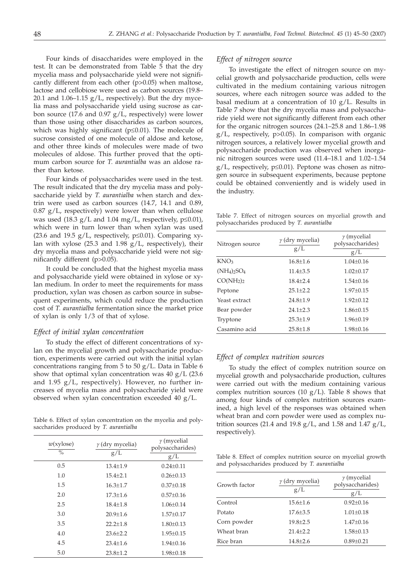Four kinds of disaccharides were employed in the test. It can be demonstrated from Table 5 that the dry mycelia mass and polysaccharide yield were not significantly different from each other (p>0.05) when maltose, lactose and cellobiose were used as carbon sources (19.8– 20.1 and  $1.06-1.15$  g/L, respectively). But the dry mycelia mass and polysaccharide yield using sucrose as carbon source (17.6 and 0.97 g/L, respectively) were lower than those using other disaccharides as carbon sources, which was highly significant ( $p \le 0.01$ ). The molecule of sucrose consisted of one molecule of aldose and ketose, and other three kinds of molecules were made of two molecules of aldose. This further proved that the optimum carbon source for *T. aurantialba* was an aldose rather than ketose.

Four kinds of polysaccharides were used in the test. The result indicated that the dry mycelia mass and polysaccharide yield by *T. aurantialba* when starch and dextrin were used as carbon sources (14.7, 14.1 and 0.89,  $0.87$  g/L, respectively) were lower than when cellulose was used (18.3 g/L and 1.04 mg/L, respectively,  $p \le 0.01$ ), which were in turn lower than when xylan was used (23.6 and 19.5 g/L, respectively,  $p \le 0.01$ ). Comparing xylan with xylose (25.3 and 1.98  $g/L$ , respectively), their dry mycelia mass and polysaccharide yield were not significantly different (p>0.05).

It could be concluded that the highest mycelia mass and polysaccharide yield were obtained in xylose or xylan medium. In order to meet the requirements for mass production, xylan was chosen as carbon source in subsequent experiments, which could reduce the production cost of *T. aurantialba* fermentation since the market price of xylan is only 1/3 of that of xylose.

#### *Effect of initial xylan concentration*

To study the effect of different concentrations of xylan on the mycelial growth and polysaccharide production, experiments were carried out with the initial xylan concentrations ranging from 5 to 50 g/L. Data in Table 6 show that optimal xylan concentration was 40 g/L (23.6 and 1.95 g/L, respectively). However, no further increases of mycelia mass and polysaccharide yield were observed when xylan concentration exceeded 40 g/L.

Table 6. Effect of xylan concentration on the mycelia and polysaccharides produced by *T. aurantialba*

| w(xylose)<br>$\frac{0}{0}$ | $\gamma$ (dry mycelia)<br>g/L | $\gamma$ (mycelial<br>polysaccharides)<br>g/L |
|----------------------------|-------------------------------|-----------------------------------------------|
| 0.5                        | $13.4 + 1.9$                  | $0.24 + 0.11$                                 |
| 1.0                        | $15.4 + 2.1$                  | $0.26 + 0.13$                                 |
| 1.5                        | $16.3 + 1.7$                  | $0.37+0.18$                                   |
| 2.0                        | $17.3 + 1.6$                  | $0.57+0.16$                                   |
| 2.5                        | $18.4 + 1.8$                  | $1.06 + 0.14$                                 |
| 3.0                        | $20.9 + 1.6$                  | $1.57 + 0.17$                                 |
| 3.5                        | $22.2 + 1.8$                  | $1.80 \pm 0.13$                               |
| 4.0                        | $23.6 + 2.2$                  | $1.95 + 0.15$                                 |
| 4.5                        | $23.4 + 1.6$                  | $1.94 + 0.16$                                 |
| 5.0                        | $23.8 \pm 1.2$                | $1.98 \pm 0.18$                               |

#### *Effect of nitrogen source*

To investigate the effect of nitrogen source on mycelial growth and polysaccharide production, cells were cultivated in the medium containing various nitrogen sources, where each nitrogen source was added to the basal medium at a concentration of 10  $g/L$ . Results in Table 7 show that the dry mycelia mass and polysaccharide yield were not significantly different from each other for the organic nitrogen sources (24.1–25.8 and 1.86–1.98 g/L, respectively, p>0.05). In comparison with organic nitrogen sources, a relatively lower mycelial growth and polysaccharide production was observed when inorganic nitrogen sources were used (11.4–18.1 and 1.02–1.54  $g/L$ , respectively,  $p \le 0.01$ ). Peptone was chosen as nitrogen source in subsequent experiments, because peptone could be obtained conveniently and is widely used in the industry.

Table 7. Effect of nitrogen sources on mycelial growth and polysaccharides produced by *T. aurantialba*

| Nitrogen source                   | $\gamma$ (dry mycelia)<br>g/L | $\gamma$ (mycelial<br>polysaccharides)<br>g/L |
|-----------------------------------|-------------------------------|-----------------------------------------------|
| KNO <sub>3</sub>                  | $16.8 \pm 1.6$                | $1.04 \pm 0.16$                               |
| $(NH_4)_2SO_4$                    | $11.4 + 3.5$                  | $1.02 + 0.17$                                 |
| CO(NH <sub>2</sub> ) <sub>2</sub> | $18.4 + 2.4$                  | $1.54 \pm 0.16$                               |
| Peptone                           | $25.1 + 2.2$                  | $1.97 + 0.15$                                 |
| Yeast extract                     | $24.8 + 1.9$                  | $1.92 + 0.12$                                 |
| Bear powder                       | $24.1 + 2.3$                  | $1.86 \pm 0.15$                               |
| Tryptone                          | $25.3 \pm 1.9$                | $1.96 \pm 0.19$                               |
| Casamino acid                     | $25.8 \pm 1.8$                | $1.98 \pm 0.16$                               |

# *Effect of complex nutrition sources*

To study the effect of complex nutrition source on mycelial growth and polysaccharide production, cultures were carried out with the medium containing various complex nutrition sources (10  $g/L$ ). Table 8 shows that among four kinds of complex nutrition sources examined, a high level of the responses was obtained when wheat bran and corn powder were used as complex nutrition sources (21.4 and 19.8  $g/L$ , and 1.58 and 1.47  $g/L$ , respectively).

Table 8. Effect of complex nutrition source on mycelial growth and polysaccharides produced by *T. aurantialba*

| Growth factor | $\gamma$ (dry mycelia)<br>g/L | $\gamma$ (mycelial<br>polysaccharides)<br>g/L |
|---------------|-------------------------------|-----------------------------------------------|
| Control       | $15.6 \pm 1.6$                | $0.92 \pm 0.16$                               |
| Potato        | $17.6 \pm 3.5$                | $1.01 \pm 0.18$                               |
| Corn powder   | $19.8 + 2.5$                  | $1.47 + 0.16$                                 |
| Wheat bran    | $21.4 + 2.2$                  | $1.58 \pm 0.13$                               |
| Rice bran     | $14.8 + 2.6$                  | $0.89 \pm 0.21$                               |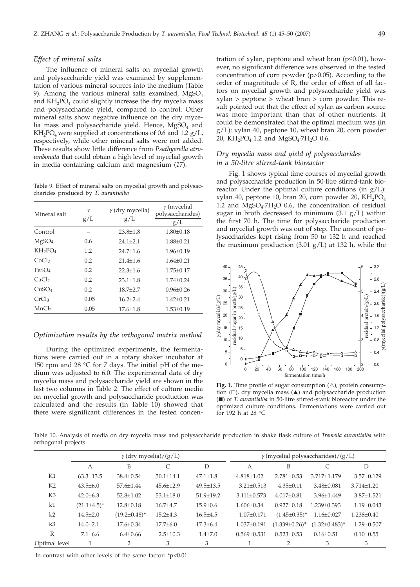*Effect of mineral salts*

The influence of mineral salts on mycelial growth and polysaccharide yield was examined by supplementation of various mineral sources into the medium (Table 9). Among the various mineral salts examined,  $MgSO<sub>4</sub>$ and  $KH<sub>2</sub>PO<sub>4</sub>$  could slightly increase the dry mycelia mass and polysaccharide yield, compared to control. Other mineral salts show negative influence on the dry mycelia mass and polysaccharide yield. Hence,  $MgSO<sub>4</sub>$  and  $KH_2PO_4$  were supplied at concentrations of 0.6 and 1.2  $g/L$ , respectively, while other mineral salts were not added. These results show little difference from *Psathyerella atroumbonata* that could obtain a high level of mycelial growth in media containing calcium and magnesium (*17*).

Table 9. Effect of mineral salts on mycelial growth and polysaccharides produced by *T. aurantialba*

| Mineral salt                    | γ<br>g/L | $\gamma$ (dry mycelia)<br>g/L | $\gamma$ (mycelial<br>polysaccharides)<br>g/L |
|---------------------------------|----------|-------------------------------|-----------------------------------------------|
| Control                         |          | $23.8 \pm 1.8$                | $1.80 + 0.18$                                 |
| MgSO <sub>4</sub>               | 0.6      | $24.1 + 2.1$                  | $1.88 + 0.21$                                 |
| KH <sub>2</sub> PO <sub>4</sub> | 1.2      | $24.7 + 1.6$                  | $1.96 \pm 0.19$                               |
| CoCl <sub>2</sub>               | 0.2      | $21.4 + 1.6$                  | $1.64 + 0.21$                                 |
| FeSO <sub>4</sub>               | 0.2      | $22.3 + 1.6$                  | $1.75 + 0.17$                                 |
| CaCl <sub>2</sub>               | 0.2      | $23.1 + 1.8$                  | $1.74 + 0.24$                                 |
| CuSO <sub>4</sub>               | 0.2      | $18.7 + 2.7$                  | $0.96 + 0.26$                                 |
| CrCl <sub>3</sub>               | 0.05     | $16.2 + 2.4$                  | $1.42 + 0.21$                                 |
| MnCl <sub>2</sub>               | 0.05     | $17.6 + 1.8$                  | $1.53 \pm 0.19$                               |

# *Optimization results by the orthogonal matrix method*

During the optimized experiments, the fermentations were carried out in a rotary shaker incubator at 150 rpm and 28 °C for 7 days. The initial pH of the medium was adjusted to 6.0. The experimental data of dry mycelia mass and polysaccharide yield are shown in the last two columns in Table 2. The effect of culture media on mycelial growth and polysaccharide production was calculated and the results (in Table 10) showed that there were significant differences in the tested concen-

tration of xylan, peptone and wheat bran  $(p \le 0.01)$ , however, no significant difference was observed in the tested concentration of corn powder (p>0.05). According to the order of magnititude of R, the order of effect of all factors on mycelial growth and polysaccharide yield was xylan > peptone > wheat bran > corn powder. This result pointed out that the effect of xylan as carbon source was more important than that of other nutrients. It could be demonstrated that the optimal medium was (in g/L): xylan 40, peptone 10, wheat bran 20, corn powder 20, KH<sub>2</sub>PO<sub>4</sub> 1.2 and MgSO<sub>4</sub>·7H<sub>2</sub>O 0.6.

# *Dry mycelia mass and yield of polysaccharides in a 50-litre stirred-tank bioreactor*

Fig. 1 shows typical time courses of mycelial growth and polysaccharide production in 50-litre stirred-tank bioreactor. Under the optimal culture conditions (in  $g/L$ ): xylan 40, peptone 10, bran 20, corn powder 20,  $KH_2PO_4$ 1.2 and  $MgSO<sub>4</sub>·7H<sub>2</sub>O$  0.6, the concentration of residual sugar in broth decreased to minimum  $(3.1 \text{ g/L})$  within the first 70 h. The time for polysaccharide production and mycelial growth was out of step. The amount of polysaccharides kept rising from 50 to 132 h and reached the maximum production  $(3.01 \text{ g/L})$  at 132 h, while the



Fig. 1. Time profile of sugar consumption  $(\triangle)$ , protein consumption  $(\Box)$ , dry mycelia mass  $(\triangle)$  and polysaccharide production (-) of *T. aurantialba* in 50-litre stirred-stank bioreactor under the optimized culture conditions. Fermentations were carried out for 192 h at 28 °C

Table 10. Analysis of media on dry mycelia mass and polysaccharide production in shake flask culture of *Tremella aurantialba* with orthogonal projects

|                | $\gamma$ (dry mycelia)/(g/L) |                     |                 |                 | $\gamma$ (mycelial polysaccharides)/(g/L) |                      |                      |                  |
|----------------|------------------------------|---------------------|-----------------|-----------------|-------------------------------------------|----------------------|----------------------|------------------|
|                | A                            | B                   | C               | D               | A                                         | B                    |                      | D                |
| K1             | $63.3 \pm 13.5$              | $38.4 \pm 0.54$     | $50.1 \pm 14.1$ | $47.1 \pm 1.8$  | $4.818 \pm 1.02$                          | $2.781 \pm 0.53$     | 3.717±1.179          | $3.57+0.129$     |
| K <sub>2</sub> | $43.5 \pm 6.0$               | 57.6±1.44           | $45.6 \pm 12.9$ | $49.5 \pm 13.5$ | $3.21 \pm 0.513$                          | $4.35 \pm 0.11$      | $3.48 \pm 0.081$     | $3.714 \pm 1.20$ |
| K <sub>3</sub> | $42.0 \pm 6.3$               | $52.8 \pm 1.02$     | $53.1 \pm 18.0$ | $51.9 \pm 19.2$ | $3.111 \pm 0.573$                         | $4.017 \pm 0.81$     | $3.96 + 1.449$       | $3.87 \pm 1.521$ |
| k1             | $(21.1 \pm 4.5)^*$           | $12.8 \pm 0.18$     | $16.7{\pm}4.7$  | $15.9 \pm 0.6$  | $1.606 \pm 0.34$                          | $0.927+0.18$         | $1.239 + 0.393$      | $1.19 + 0.043$   |
| k2             | $14.5 \pm 2.0$               | $(19.2 \pm 0.48)^*$ | $15.2 \pm 4.3$  | $16.5 \pm 4.5$  | $1.07 \pm 0.171$                          | $(1.45 \pm 0.35)^*$  | $1.16 \pm 0.027$     | $1.238 \pm 0.40$ |
| k <sub>3</sub> | $14.0 \pm 2.1$               | $17.6 \pm 0.34$     | $17.7 \pm 6.0$  | $17.3 \pm 6.4$  | $1.037 \pm 0.191$                         | $(1.339 \pm 0.26)^*$ | $(1.32 \pm 0.483)^*$ | $1.29 + 0.507$   |
| R              | $7.1 \pm 6.6$                | $6.4 \pm 0.66$      | $2.5 \pm 10.3$  | $1.4 + 7.0$     | $0.569 + 0.531$                           | $0.523 \pm 0.53$     | $0.16 \pm 0.51$      | $0.10 \pm 0.55$  |
| Optimal level  |                              | 2                   | 3               | 3               |                                           | 2                    | 3                    | 3                |

In contrast with other levels of the same factor: \*p<0.01